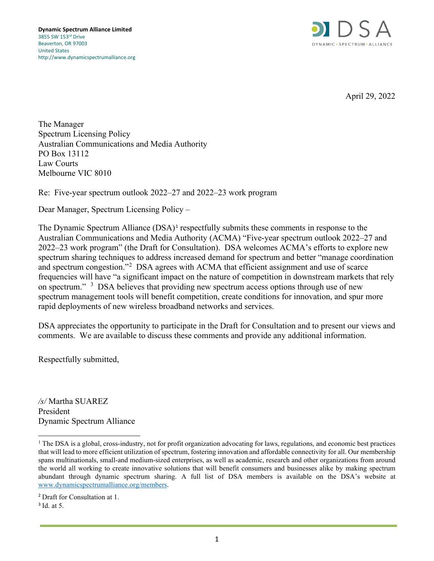

April 29, 2022

The Manager Spectrum Licensing Policy Australian Communications and Media Authority PO Box 13112 Law Courts Melbourne VIC 8010

Re: Five-year spectrum outlook 2022–27 and 2022–23 work program

Dear Manager, Spectrum Licensing Policy –

The Dynamic Spectrum Alliance  $(DSA)^1$  $(DSA)^1$  respectfully submits these comments in response to the Australian Communications and Media Authority (ACMA) "Five-year spectrum outlook 2022–27 and 2022–23 work program" (the Draft for Consultation). DSA welcomes ACMA's efforts to explore new spectrum sharing techniques to address increased demand for spectrum and better "manage coordination and spectrum congestion."<sup>[2](#page-0-1)</sup> DSA agrees with ACMA that efficient assignment and use of scarce frequencies will have "a significant impact on the nature of competition in downstream markets that rely on spectrum." <sup>[3](#page-0-2)</sup> DSA believes that providing new spectrum access options through use of new spectrum management tools will benefit competition, create conditions for innovation, and spur more rapid deployments of new wireless broadband networks and services.

DSA appreciates the opportunity to participate in the Draft for Consultation and to present our views and comments. We are available to discuss these comments and provide any additional information.

Respectfully submitted,

*/s/* Martha SUAREZ President Dynamic Spectrum Alliance

<span id="page-0-2"></span><span id="page-0-1"></span><sup>2</sup> Draft for Consultation at 1. <sup>3</sup> Id. at 5.

l,

<span id="page-0-0"></span> $<sup>1</sup>$  The DSA is a global, cross-industry, not for profit organization advocating for laws, regulations, and economic best practices</sup> that will lead to more efficient utilization of spectrum, fostering innovation and affordable connectivity for all. Our membership spans multinationals, small-and medium-sized enterprises, as well as academic, research and other organizations from around the world all working to create innovative solutions that will benefit consumers and businesses alike by making spectrum abundant through dynamic spectrum sharing. A full list of DSA members is available on the DSA's website at [www.dynamicspectrumalliance.org/members.](http://www.dynamicspectrumalliance.org/members)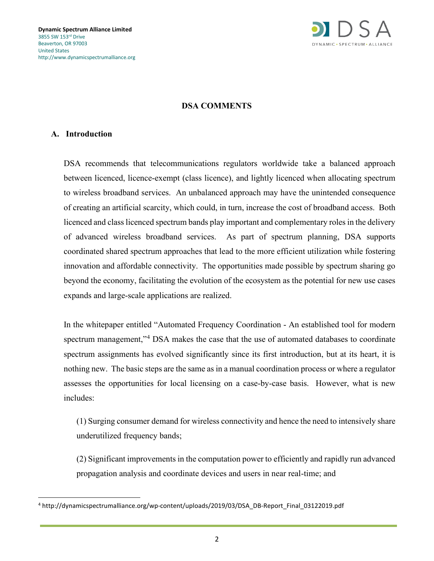

### **DSA COMMENTS**

#### **A. Introduction**

DSA recommends that telecommunications regulators worldwide take a balanced approach between licenced, licence-exempt (class licence), and lightly licenced when allocating spectrum to wireless broadband services. An unbalanced approach may have the unintended consequence of creating an artificial scarcity, which could, in turn, increase the cost of broadband access. Both licenced and class licenced spectrum bands play important and complementary roles in the delivery of advanced wireless broadband services. As part of spectrum planning, DSA supports coordinated shared spectrum approaches that lead to the more efficient utilization while fostering innovation and affordable connectivity. The opportunities made possible by spectrum sharing go beyond the economy, facilitating the evolution of the ecosystem as the potential for new use cases expands and large-scale applications are realized.

In the whitepaper entitled "Automated Frequency Coordination - An established tool for modern spectrum management,"<sup>[4](#page-1-0)</sup> DSA makes the case that the use of automated databases to coordinate spectrum assignments has evolved significantly since its first introduction, but at its heart, it is nothing new. The basic steps are the same as in a manual coordination process or where a regulator assesses the opportunities for local licensing on a case-by-case basis. However, what is new includes:

(1) Surging consumer demand for wireless connectivity and hence the need to intensively share underutilized frequency bands;

(2) Significant improvements in the computation power to efficiently and rapidly run advanced propagation analysis and coordinate devices and users in near real-time; and

<span id="page-1-0"></span><sup>4</sup> http://dynamicspectrumalliance.org/wp-content/uploads/2019/03/DSA\_DB-Report\_Final\_03122019.pdf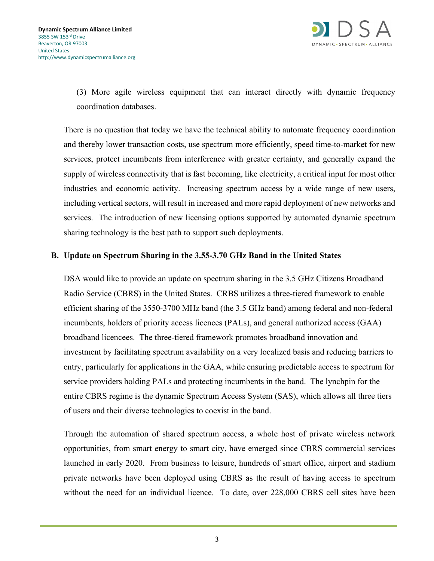

(3) More agile wireless equipment that can interact directly with dynamic frequency coordination databases.

There is no question that today we have the technical ability to automate frequency coordination and thereby lower transaction costs, use spectrum more efficiently, speed time-to-market for new services, protect incumbents from interference with greater certainty, and generally expand the supply of wireless connectivity that is fast becoming, like electricity, a critical input for most other industries and economic activity. Increasing spectrum access by a wide range of new users, including vertical sectors, will result in increased and more rapid deployment of new networks and services. The introduction of new licensing options supported by automated dynamic spectrum sharing technology is the best path to support such deployments.

### **B. Update on Spectrum Sharing in the 3.55-3.70 GHz Band in the United States**

DSA would like to provide an update on spectrum sharing in the 3.5 GHz Citizens Broadband Radio Service (CBRS) in the United States. CRBS utilizes a three-tiered framework to enable efficient sharing of the 3550-3700 MHz band (the 3.5 GHz band) among federal and non-federal incumbents, holders of priority access licences (PALs), and general authorized access (GAA) broadband licencees. The three-tiered framework promotes broadband innovation and investment by facilitating spectrum availability on a very localized basis and reducing barriers to entry, particularly for applications in the GAA, while ensuring predictable access to spectrum for service providers holding PALs and protecting incumbents in the band. The lynchpin for the entire CBRS regime is the dynamic Spectrum Access System (SAS), which allows all three tiers of users and their diverse technologies to coexist in the band.

Through the automation of shared spectrum access, a whole host of private wireless network opportunities, from smart energy to smart city, have emerged since CBRS commercial services launched in early 2020. From business to leisure, hundreds of smart office, airport and stadium private networks have been deployed using CBRS as the result of having access to spectrum without the need for an individual licence. To date, over 228,000 CBRS cell sites have been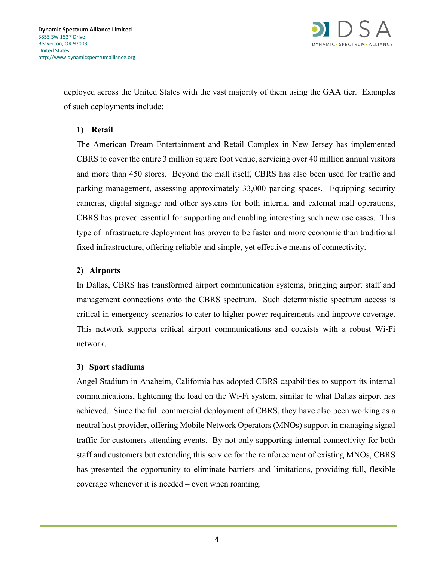

deployed across the United States with the vast majority of them using the GAA tier. Examples of such deployments include:

## **1) Retail**

The American Dream Entertainment and Retail Complex in New Jersey has implemented CBRS to cover the entire 3 million square foot venue, servicing over 40 million annual visitors and more than 450 stores. Beyond the mall itself, CBRS has also been used for traffic and parking management, assessing approximately 33,000 parking spaces. Equipping security cameras, digital signage and other systems for both internal and external mall operations, CBRS has proved essential for supporting and enabling interesting such new use cases. This type of infrastructure deployment has proven to be faster and more economic than traditional fixed infrastructure, offering reliable and simple, yet effective means of connectivity.

# **2) Airports**

In Dallas, CBRS has transformed airport communication systems, bringing airport staff and management connections onto the CBRS spectrum. Such deterministic spectrum access is critical in emergency scenarios to cater to higher power requirements and improve coverage. This network supports critical airport communications and coexists with a robust Wi-Fi network.

# **3) Sport stadiums**

Angel Stadium in Anaheim, California has adopted CBRS capabilities to support its internal communications, lightening the load on the Wi-Fi system, similar to what Dallas airport has achieved. Since the full commercial deployment of CBRS, they have also been working as a neutral host provider, offering Mobile Network Operators (MNOs) support in managing signal traffic for customers attending events. By not only supporting internal connectivity for both staff and customers but extending this service for the reinforcement of existing MNOs, CBRS has presented the opportunity to eliminate barriers and limitations, providing full, flexible coverage whenever it is needed – even when roaming.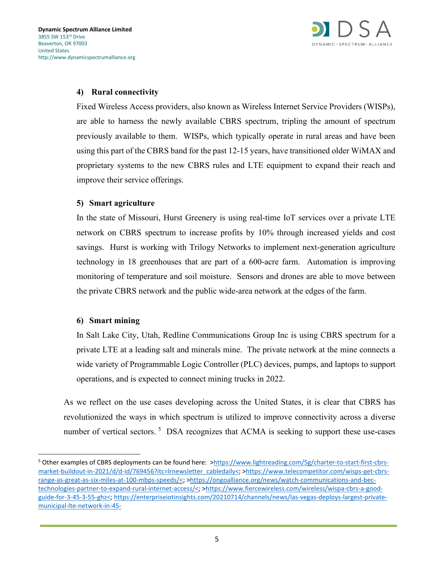

## **4) Rural connectivity**

Fixed Wireless Access providers, also known as Wireless Internet Service Providers (WISPs), are able to harness the newly available CBRS spectrum, tripling the amount of spectrum previously available to them. WISPs, which typically operate in rural areas and have been using this part of the CBRS band for the past 12-15 years, have transitioned older WiMAX and proprietary systems to the new CBRS rules and LTE equipment to expand their reach and improve their service offerings.

### **5) Smart agriculture**

In the state of Missouri, Hurst Greenery is using real-time IoT services over a private LTE network on CBRS spectrum to increase profits by 10% through increased yields and cost savings. Hurst is working with Trilogy Networks to implement next-generation agriculture technology in 18 greenhouses that are part of a 600-acre farm. Automation is improving monitoring of temperature and soil moisture. Sensors and drones are able to move between the private CBRS network and the public wide-area network at the edges of the farm.

#### **6) Smart mining**

In Salt Lake City, Utah, Redline Communications Group Inc is using CBRS spectrum for a private LTE at a leading salt and minerals mine. The private network at the mine connects a wide variety of Programmable Logic Controller (PLC) devices, pumps, and laptops to support operations, and is expected to connect mining trucks in 2022.

As we reflect on the use cases developing across the United States, it is clear that CBRS has revolutionized the ways in which spectrum is utilized to improve connectivity across a diverse number of vertical sectors.<sup>[5](#page-4-0)</sup> DSA recognizes that ACMA is seeking to support these use-cases

l,

<span id="page-4-0"></span><sup>5</sup> Other examples of CBRS deployments can be found here: [>https://www.lightreading.com/5g/charter-to-start-first-cbrs](https://www.lightreading.com/5g/charter-to-start-first-cbrs-market-buildout-in-2021/d/d-id/769456?itc=lrnewsletter_cabledaily%3c)[market-buildout-in-2021/d/d-id/769456?itc=lrnewsletter\\_cabledaily<;](https://www.lightreading.com/5g/charter-to-start-first-cbrs-market-buildout-in-2021/d/d-id/769456?itc=lrnewsletter_cabledaily%3c) [>https://www.telecompetitor.com/wisps-get-cbrs](https://www.telecompetitor.com/wisps-get-cbrs-range-as-great-as-six-miles-at-100-mbps-speeds/%3c)[range-as-great-as-six-miles-at-100-mbps-speeds/<;](https://www.telecompetitor.com/wisps-get-cbrs-range-as-great-as-six-miles-at-100-mbps-speeds/%3c) [>https://ongoalliance.org/news/watch-communications-and-bec](https://ongoalliance.org/news/watch-communications-and-bec-technologies-partner-to-expand-rural-internet-access/%3c)[technologies-partner-to-expand-rural-internet-access/<;](https://ongoalliance.org/news/watch-communications-and-bec-technologies-partner-to-expand-rural-internet-access/%3c) [>https://www.fiercewireless.com/wireless/wispa-cbrs-a-good](https://www.fiercewireless.com/wireless/wispa-cbrs-a-good-guide-for-3-45-3-55-ghz%3c)[guide-for-3-45-3-55-ghz<;](https://www.fiercewireless.com/wireless/wispa-cbrs-a-good-guide-for-3-45-3-55-ghz%3c) [https://enterpriseiotinsights.com/20210714/channels/news/las-vegas-deploys-largest-private](https://enterpriseiotinsights.com/20210714/channels/news/las-vegas-deploys-largest-private-municipal-lte-network-in-45-days?utm_campaign=RCR%20Newsletter&utm_medium=email&_hsmi=140455124&_hsenc=p2ANqtz-8_naAz8kuWAD4MfCsNIO_UI-BHN_Tmp_iZplCd7CyjjErXRYqqzuw2clkX7aZjVjvO_rXC6x2qLT514s778wtgZli-kkEvx9mmlXvfu-4IsAQOaUM&utm_content=140455124&utm_source=hs_email)[municipal-lte-network-in-45-](https://enterpriseiotinsights.com/20210714/channels/news/las-vegas-deploys-largest-private-municipal-lte-network-in-45-days?utm_campaign=RCR%20Newsletter&utm_medium=email&_hsmi=140455124&_hsenc=p2ANqtz-8_naAz8kuWAD4MfCsNIO_UI-BHN_Tmp_iZplCd7CyjjErXRYqqzuw2clkX7aZjVjvO_rXC6x2qLT514s778wtgZli-kkEvx9mmlXvfu-4IsAQOaUM&utm_content=140455124&utm_source=hs_email)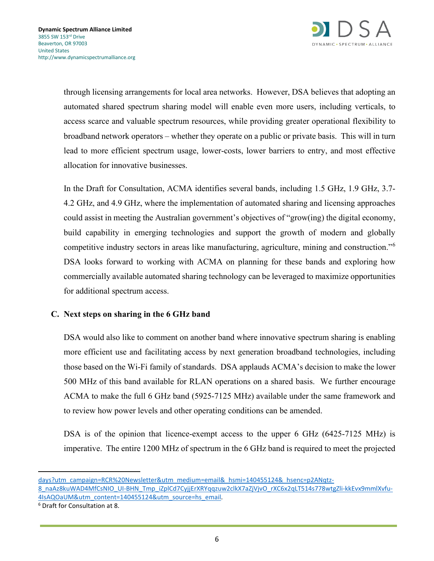

through licensing arrangements for local area networks. However, DSA believes that adopting an automated shared spectrum sharing model will enable even more users, including verticals, to access scarce and valuable spectrum resources, while providing greater operational flexibility to broadband network operators – whether they operate on a public or private basis. This will in turn lead to more efficient spectrum usage, lower-costs, lower barriers to entry, and most effective allocation for innovative businesses.

In the Draft for Consultation, ACMA identifies several bands, including 1.5 GHz, 1.9 GHz, 3.7- 4.2 GHz, and 4.9 GHz, where the implementation of automated sharing and licensing approaches could assist in meeting the Australian government's objectives of "grow(ing) the digital economy, build capability in emerging technologies and support the growth of modern and globally competitive industry sectors in areas like manufacturing, agriculture, mining and construction."[6](#page-5-0) DSA looks forward to working with ACMA on planning for these bands and exploring how commercially available automated sharing technology can be leveraged to maximize opportunities for additional spectrum access.

# **C. Next steps on sharing in the 6 GHz band**

DSA would also like to comment on another band where innovative spectrum sharing is enabling more efficient use and facilitating access by next generation broadband technologies, including those based on the Wi-Fi family of standards. DSA applauds ACMA's decision to make the lower 500 MHz of this band available for RLAN operations on a shared basis. We further encourage ACMA to make the full 6 GHz band (5925-7125 MHz) available under the same framework and to review how power levels and other operating conditions can be amended.

DSA is of the opinion that licence-exempt access to the upper 6 GHz (6425-7125 MHz) is imperative. The entire 1200 MHz of spectrum in the 6 GHz band is required to meet the projected

l,

[days?utm\\_campaign=RCR%20Newsletter&utm\\_medium=email&\\_hsmi=140455124&\\_hsenc=p2ANqtz-](https://enterpriseiotinsights.com/20210714/channels/news/las-vegas-deploys-largest-private-municipal-lte-network-in-45-days?utm_campaign=RCR%20Newsletter&utm_medium=email&_hsmi=140455124&_hsenc=p2ANqtz-8_naAz8kuWAD4MfCsNIO_UI-BHN_Tmp_iZplCd7CyjjErXRYqqzuw2clkX7aZjVjvO_rXC6x2qLT514s778wtgZli-kkEvx9mmlXvfu-4IsAQOaUM&utm_content=140455124&utm_source=hs_email)[8\\_naAz8kuWAD4MfCsNIO\\_UI-BHN\\_Tmp\\_iZplCd7CyjjErXRYqqzuw2clkX7aZjVjvO\\_rXC6x2qLT514s778wtgZli-kkEvx9mmlXvfu-](https://enterpriseiotinsights.com/20210714/channels/news/las-vegas-deploys-largest-private-municipal-lte-network-in-45-days?utm_campaign=RCR%20Newsletter&utm_medium=email&_hsmi=140455124&_hsenc=p2ANqtz-8_naAz8kuWAD4MfCsNIO_UI-BHN_Tmp_iZplCd7CyjjErXRYqqzuw2clkX7aZjVjvO_rXC6x2qLT514s778wtgZli-kkEvx9mmlXvfu-4IsAQOaUM&utm_content=140455124&utm_source=hs_email)[4IsAQOaUM&utm\\_content=140455124&utm\\_source=hs\\_email.](https://enterpriseiotinsights.com/20210714/channels/news/las-vegas-deploys-largest-private-municipal-lte-network-in-45-days?utm_campaign=RCR%20Newsletter&utm_medium=email&_hsmi=140455124&_hsenc=p2ANqtz-8_naAz8kuWAD4MfCsNIO_UI-BHN_Tmp_iZplCd7CyjjErXRYqqzuw2clkX7aZjVjvO_rXC6x2qLT514s778wtgZli-kkEvx9mmlXvfu-4IsAQOaUM&utm_content=140455124&utm_source=hs_email) 6 Draft for Consultation at 8.

<span id="page-5-0"></span>